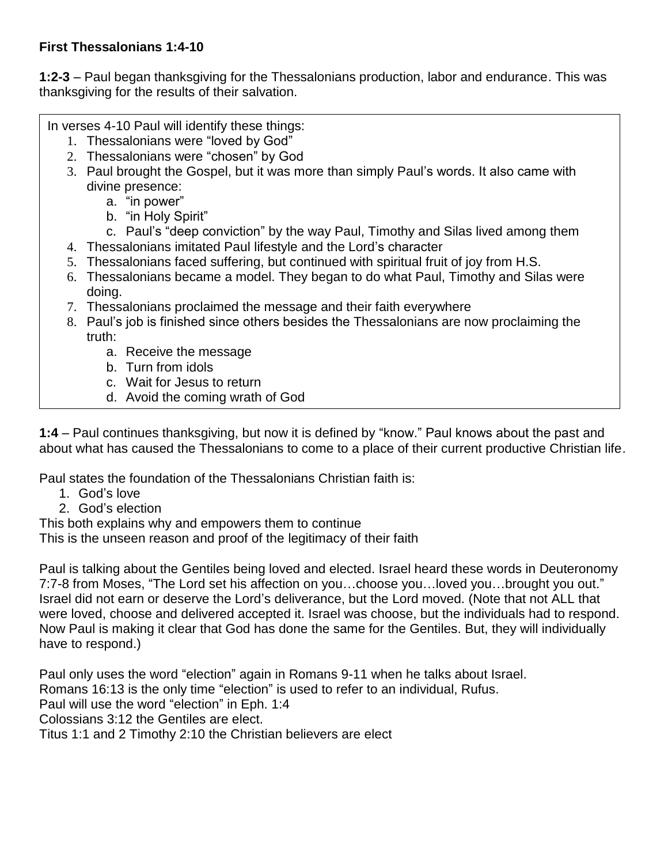## **First Thessalonians 1:4-10**

**1:2-3** – Paul began thanksgiving for the Thessalonians production, labor and endurance. This was thanksgiving for the results of their salvation.

In verses 4-10 Paul will identify these things:

- 1. Thessalonians were "loved by God"
- 2. Thessalonians were "chosen" by God
- 3. Paul brought the Gospel, but it was more than simply Paul's words. It also came with divine presence:
	- a. "in power"
	- b. "in Holy Spirit"
	- c. Paul's "deep conviction" by the way Paul, Timothy and Silas lived among them
- 4. Thessalonians imitated Paul lifestyle and the Lord's character
- 5. Thessalonians faced suffering, but continued with spiritual fruit of joy from H.S.
- 6. Thessalonians became a model. They began to do what Paul, Timothy and Silas were doing.
- 7. Thessalonians proclaimed the message and their faith everywhere
- 8. Paul's job is finished since others besides the Thessalonians are now proclaiming the truth:
	- a. Receive the message
	- b. Turn from idols
	- c. Wait for Jesus to return
	- d. Avoid the coming wrath of God

**1:4** – Paul continues thanksgiving, but now it is defined by "know." Paul knows about the past and about what has caused the Thessalonians to come to a place of their current productive Christian life.

Paul states the foundation of the Thessalonians Christian faith is:

- 1. God's love
- 2. God's election

This both explains why and empowers them to continue

This is the unseen reason and proof of the legitimacy of their faith

Paul is talking about the Gentiles being loved and elected. Israel heard these words in Deuteronomy 7:7-8 from Moses, "The Lord set his affection on you…choose you…loved you…brought you out." Israel did not earn or deserve the Lord's deliverance, but the Lord moved. (Note that not ALL that were loved, choose and delivered accepted it. Israel was choose, but the individuals had to respond. Now Paul is making it clear that God has done the same for the Gentiles. But, they will individually have to respond.)

Paul only uses the word "election" again in Romans 9-11 when he talks about Israel. Romans 16:13 is the only time "election" is used to refer to an individual, Rufus. Paul will use the word "election" in Eph. 1:4 Colossians 3:12 the Gentiles are elect. Titus 1:1 and 2 Timothy 2:10 the Christian believers are elect